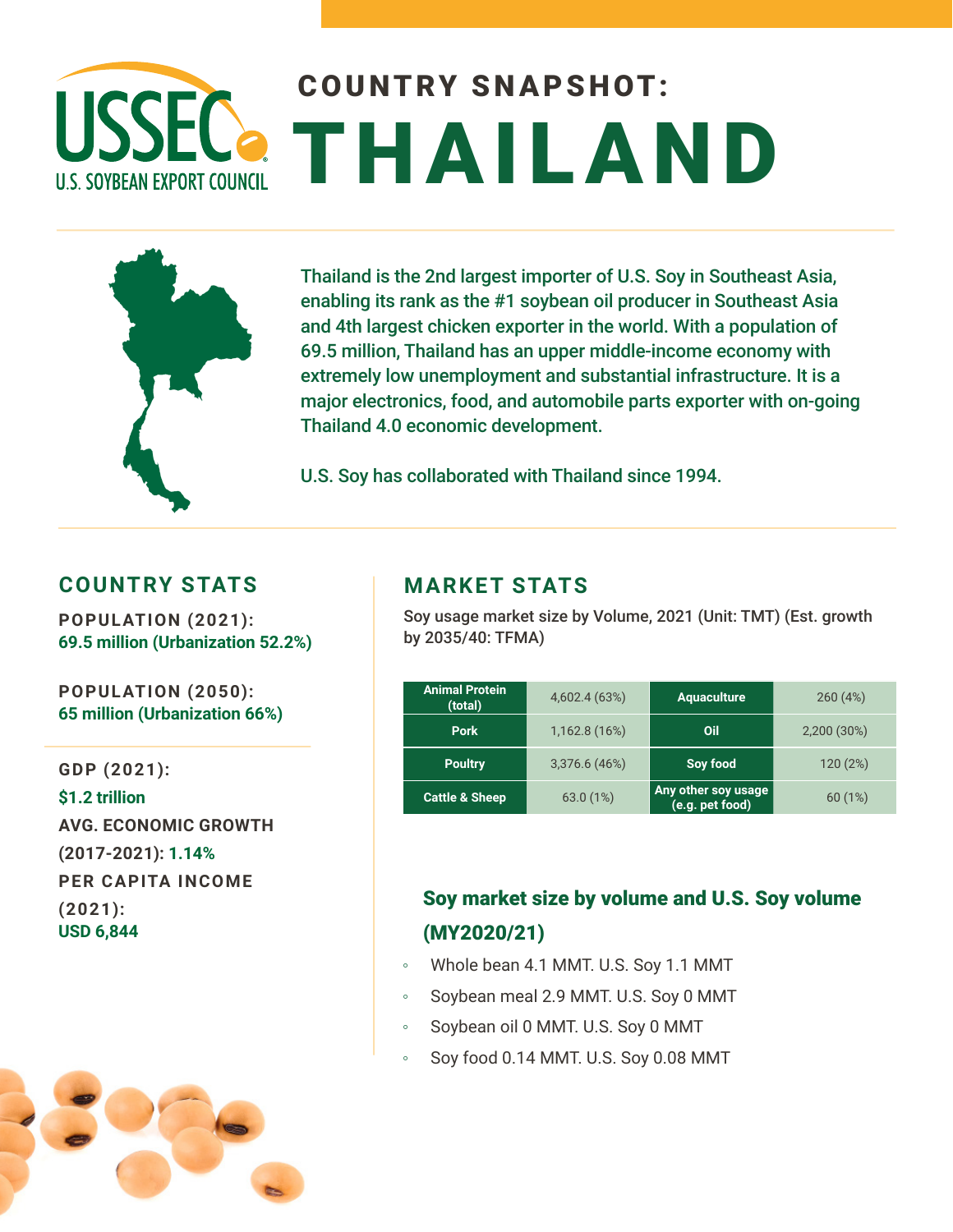# COUNTRY SNAPSHOT: **USSEC** THAILAND **U.S. SOYBEAN EXPORT COUNCIL**



Thailand is the 2nd largest importer of U.S. Soy in Southeast Asia, enabling its rank as the #1 soybean oil producer in Southeast Asia and 4th largest chicken exporter in the world. With a population of 69.5 million, Thailand has an upper middle-income economy with extremely low unemployment and substantial infrastructure. It is a major electronics, food, and automobile parts exporter with on-going Thailand 4.0 economic development.

U.S. Soy has collaborated with Thailand since 1994.

#### **COUNTRY STATS**

**POPULATION (2021): 69.5 million (Urbanization 52.2%)** 

**POPULATION (2050): 65 million (Urbanization 66%)** 

**GDP (2021): \$1.2 trillion AVG. ECONOMIC GROWTH (2017-2021): 1.14% PER CAPITA INCOME (2021): USD 6,844**



#### **MARKET STATS**

Soy usage market size by Volume, 2021 (Unit: TMT) (Est. growth by 2035/40: TFMA)

| <b>Animal Protein</b><br>(total) | 4,602.4 (63%) | <b>Aquaculture</b>                     | 260(4%)     |
|----------------------------------|---------------|----------------------------------------|-------------|
| <b>Pork</b>                      | 1,162.8 (16%) | Oil                                    | 2,200 (30%) |
| <b>Poultry</b>                   | 3,376.6 (46%) | Soy food                               | 120 (2%)    |
| <b>Cattle &amp; Sheep</b>        | 63.0(1%)      | Any other soy usage<br>(e.g. pet food) | 60(1%)      |

### Soy market size by volume and U.S. Soy volume (MY2020/21)

- Whole bean 4.1 MMT. U.S. Soy 1.1 MMT
- Soybean meal 2.9 MMT. U.S. Soy 0 MMT
- Soybean oil 0 MMT. U.S. Soy 0 MMT
- Soy food 0.14 MMT. U.S. Soy 0.08 MMT